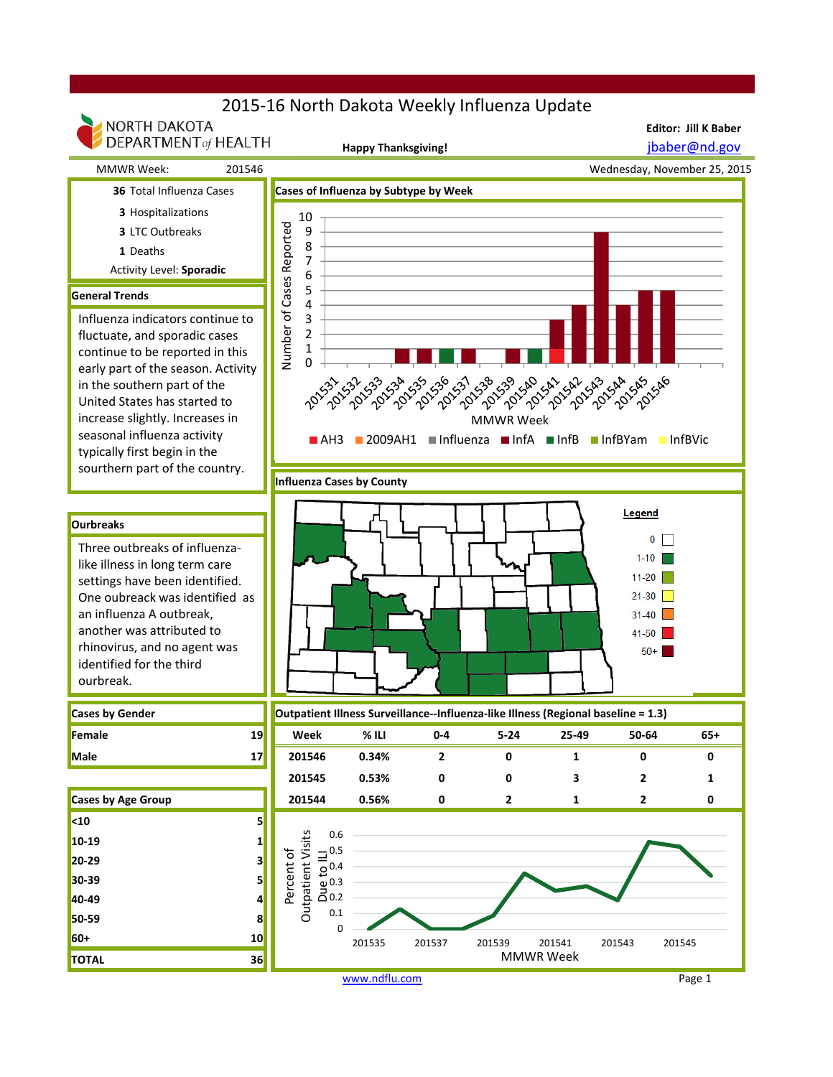## 2015-16 North Dakota Weekly Influenza Update